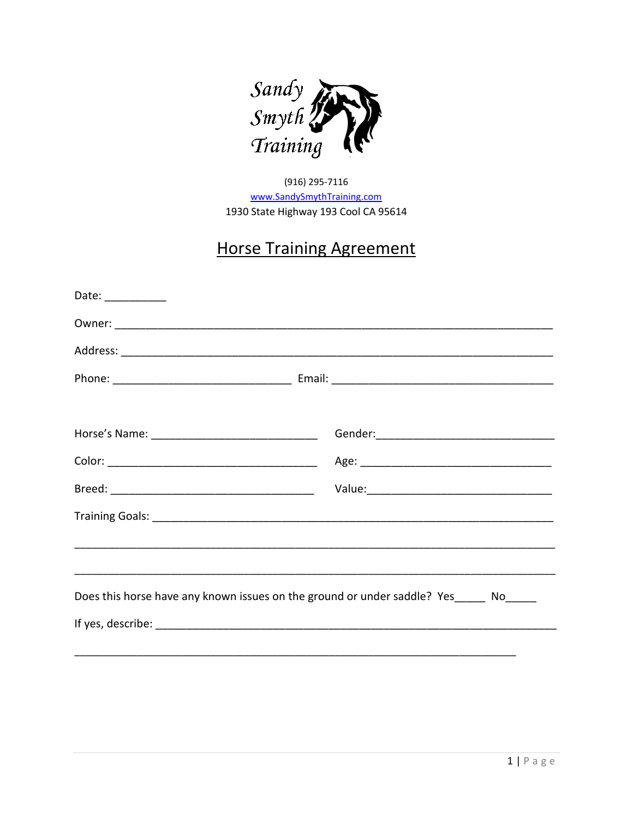

(916) 295-7116 www.SandySmythTraining.com 1930 State Highway 193 Cool CA 95614

# **Horse Training Agreement**

| Date: ____________ |                                                                                       |
|--------------------|---------------------------------------------------------------------------------------|
|                    |                                                                                       |
|                    |                                                                                       |
|                    |                                                                                       |
|                    |                                                                                       |
|                    |                                                                                       |
|                    |                                                                                       |
|                    |                                                                                       |
|                    |                                                                                       |
|                    |                                                                                       |
|                    |                                                                                       |
|                    | Does this horse have any known issues on the ground or under saddle? Yes_____ No_____ |
|                    |                                                                                       |
|                    |                                                                                       |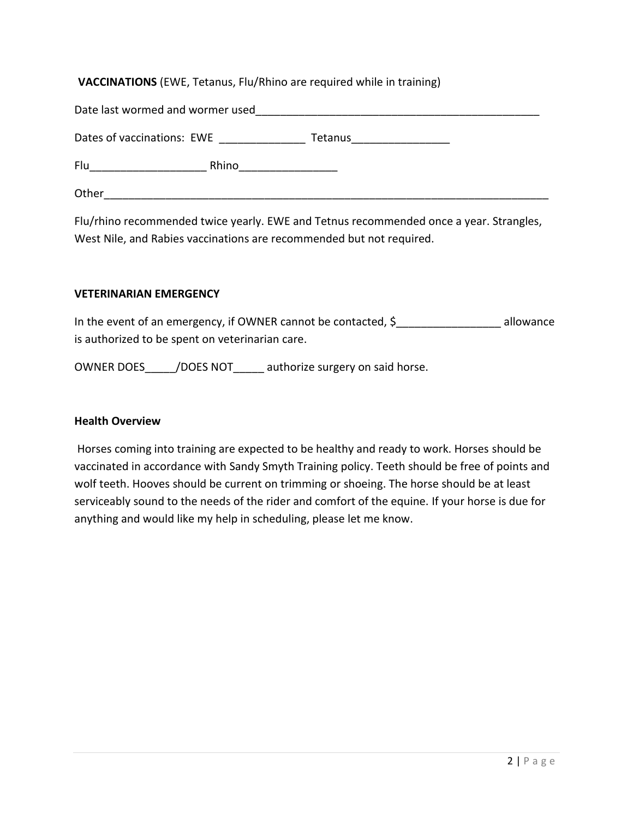## **VACCINATIONS** (EWE, Tetanus, Flu/Rhino are required while in training)

| Date last wormed and wormer used |         |
|----------------------------------|---------|
| Dates of vaccinations: EWE       | Tetanus |
| Flu<br>Rhino                     |         |
| Other                            |         |

Flu/rhino recommended twice yearly. EWE and Tetnus recommended once a year. Strangles, West Nile, and Rabies vaccinations are recommended but not required.

#### **VETERINARIAN EMERGENCY**

In the event of an emergency, if OWNER cannot be contacted,  $\zeta$  allowance is authorized to be spent on veterinarian care.

OWNER DOES / DOES NOT authorize surgery on said horse.

#### **Health Overview**

Horses coming into training are expected to be healthy and ready to work. Horses should be vaccinated in accordance with Sandy Smyth Training policy. Teeth should be free of points and wolf teeth. Hooves should be current on trimming or shoeing. The horse should be at least serviceably sound to the needs of the rider and comfort of the equine. If your horse is due for anything and would like my help in scheduling, please let me know.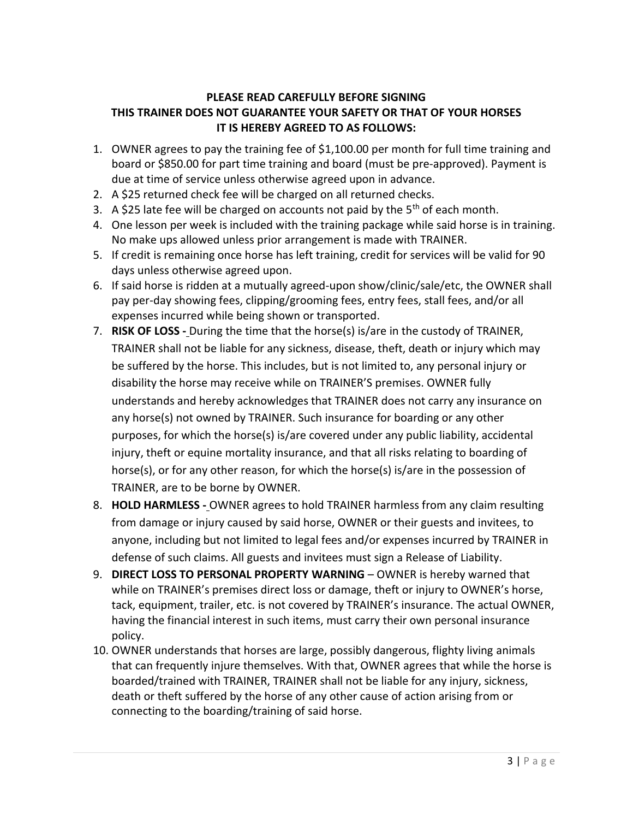# **PLEASE READ CAREFULLY BEFORE SIGNING THIS TRAINER DOES NOT GUARANTEE YOUR SAFETY OR THAT OF YOUR HORSES IT IS HEREBY AGREED TO AS FOLLOWS:**

- 1. OWNER agrees to pay the training fee of \$1,100.00 per month for full time training and board or \$850.00 for part time training and board (must be pre-approved). Payment is due at time of service unless otherwise agreed upon in advance.
- 2. A \$25 returned check fee will be charged on all returned checks.
- 3. A \$25 late fee will be charged on accounts not paid by the  $5<sup>th</sup>$  of each month.
- 4. One lesson per week is included with the training package while said horse is in training. No make ups allowed unless prior arrangement is made with TRAINER.
- 5. If credit is remaining once horse has left training, credit for services will be valid for 90 days unless otherwise agreed upon.
- 6. If said horse is ridden at a mutually agreed-upon show/clinic/sale/etc, the OWNER shall pay per-day showing fees, clipping/grooming fees, entry fees, stall fees, and/or all expenses incurred while being shown or transported.
- 7. **RISK OF LOSS -** During the time that the horse(s) is/are in the custody of TRAINER, TRAINER shall not be liable for any sickness, disease, theft, death or injury which may be suffered by the horse. This includes, but is not limited to, any personal injury or disability the horse may receive while on TRAINER'S premises. OWNER fully understands and hereby acknowledges that TRAINER does not carry any insurance on any horse(s) not owned by TRAINER. Such insurance for boarding or any other purposes, for which the horse(s) is/are covered under any public liability, accidental injury, theft or equine mortality insurance, and that all risks relating to boarding of horse(s), or for any other reason, for which the horse(s) is/are in the possession of TRAINER, are to be borne by OWNER.
- 8. **HOLD HARMLESS -** OWNER agrees to hold TRAINER harmless from any claim resulting from damage or injury caused by said horse, OWNER or their guests and invitees, to anyone, including but not limited to legal fees and/or expenses incurred by TRAINER in defense of such claims. All guests and invitees must sign a Release of Liability.
- 9. **DIRECT LOSS TO PERSONAL PROPERTY WARNING** OWNER is hereby warned that while on TRAINER's premises direct loss or damage, theft or injury to OWNER's horse, tack, equipment, trailer, etc. is not covered by TRAINER's insurance. The actual OWNER, having the financial interest in such items, must carry their own personal insurance policy.
- 10. OWNER understands that horses are large, possibly dangerous, flighty living animals that can frequently injure themselves. With that, OWNER agrees that while the horse is boarded/trained with TRAINER, TRAINER shall not be liable for any injury, sickness, death or theft suffered by the horse of any other cause of action arising from or connecting to the boarding/training of said horse.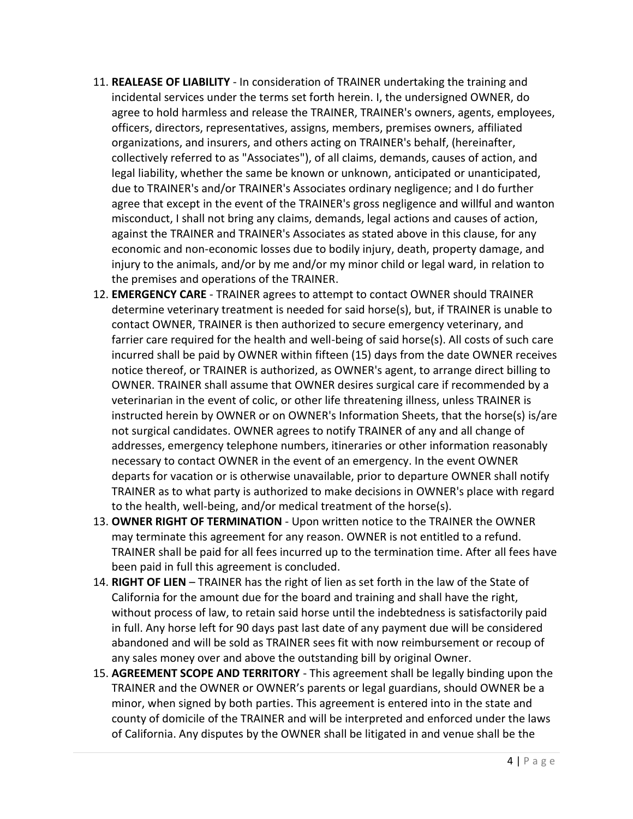- 11. **REALEASE OF LIABILITY** In consideration of TRAINER undertaking the training and incidental services under the terms set forth herein. I, the undersigned OWNER, do agree to hold harmless and release the TRAINER, TRAINER's owners, agents, employees, officers, directors, representatives, assigns, members, premises owners, affiliated organizations, and insurers, and others acting on TRAINER's behalf, (hereinafter, collectively referred to as "Associates"), of all claims, demands, causes of action, and legal liability, whether the same be known or unknown, anticipated or unanticipated, due to TRAINER's and/or TRAINER's Associates ordinary negligence; and I do further agree that except in the event of the TRAINER's gross negligence and willful and wanton misconduct, I shall not bring any claims, demands, legal actions and causes of action, against the TRAINER and TRAINER's Associates as stated above in this clause, for any economic and non-economic losses due to bodily injury, death, property damage, and injury to the animals, and/or by me and/or my minor child or legal ward, in relation to the premises and operations of the TRAINER.
- 12. **EMERGENCY CARE** TRAINER agrees to attempt to contact OWNER should TRAINER determine veterinary treatment is needed for said horse(s), but, if TRAINER is unable to contact OWNER, TRAINER is then authorized to secure emergency veterinary, and farrier care required for the health and well-being of said horse(s). All costs of such care incurred shall be paid by OWNER within fifteen (15) days from the date OWNER receives notice thereof, or TRAINER is authorized, as OWNER's agent, to arrange direct billing to OWNER. TRAINER shall assume that OWNER desires surgical care if recommended by a veterinarian in the event of colic, or other life threatening illness, unless TRAINER is instructed herein by OWNER or on OWNER's Information Sheets, that the horse(s) is/are not surgical candidates. OWNER agrees to notify TRAINER of any and all change of addresses, emergency telephone numbers, itineraries or other information reasonably necessary to contact OWNER in the event of an emergency. In the event OWNER departs for vacation or is otherwise unavailable, prior to departure OWNER shall notify TRAINER as to what party is authorized to make decisions in OWNER's place with regard to the health, well-being, and/or medical treatment of the horse(s).
- 13. **OWNER RIGHT OF TERMINATION** Upon written notice to the TRAINER the OWNER may terminate this agreement for any reason. OWNER is not entitled to a refund. TRAINER shall be paid for all fees incurred up to the termination time. After all fees have been paid in full this agreement is concluded.
- 14. **RIGHT OF LIEN** TRAINER has the right of lien as set forth in the law of the State of California for the amount due for the board and training and shall have the right, without process of law, to retain said horse until the indebtedness is satisfactorily paid in full. Any horse left for 90 days past last date of any payment due will be considered abandoned and will be sold as TRAINER sees fit with now reimbursement or recoup of any sales money over and above the outstanding bill by original Owner.
- 15. **AGREEMENT SCOPE AND TERRITORY** This agreement shall be legally binding upon the TRAINER and the OWNER or OWNER's parents or legal guardians, should OWNER be a minor, when signed by both parties. This agreement is entered into in the state and county of domicile of the TRAINER and will be interpreted and enforced under the laws of California. Any disputes by the OWNER shall be litigated in and venue shall be the